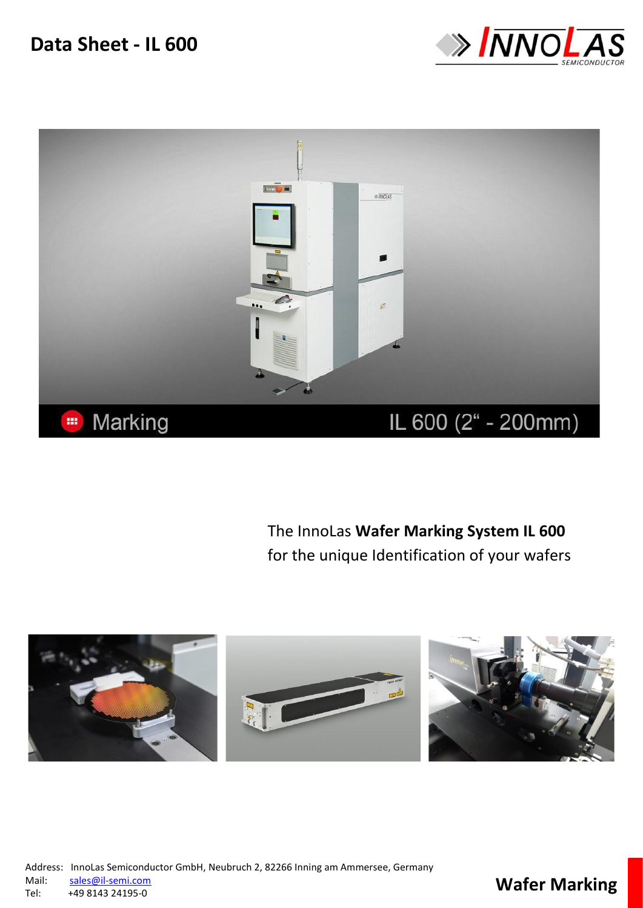**Data Sheet - IL 600**





The InnoLas **Wafer Marking System IL 600**  for the unique Identification of your wafers



Address: InnoLas Semiconductor GmbH, Neubruch 2, 82266 Inning am Ammersee, Germany Mail: [sales@il-semi.com](mailto:sales@il-semi.com)<br>Tel: +49 8143 24195-0 Mail: sales@il-semi.com<br>Tel: +49 8143 24195-0<br>Tel: +49 8143 24195-0